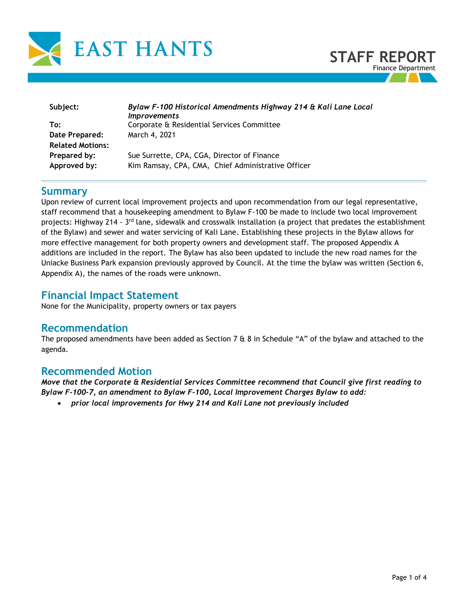



| Subject:                | Bylaw F-100 Historical Amendments Highway 214 & Kali Lane Local<br><i>Improvements</i> |  |  |
|-------------------------|----------------------------------------------------------------------------------------|--|--|
| To:                     | Corporate & Residential Services Committee                                             |  |  |
| Date Prepared:          | March 4, 2021                                                                          |  |  |
| <b>Related Motions:</b> |                                                                                        |  |  |
| Prepared by:            | Sue Surrette, CPA, CGA, Director of Finance                                            |  |  |
| Approved by:            | Kim Ramsay, CPA, CMA, Chief Administrative Officer                                     |  |  |

### **Summary**

Upon review of current local improvement projects and upon recommendation from our legal representative, staff recommend that a housekeeping amendment to Bylaw F-100 be made to include two local improvement projects: Highway 214 - 3<sup>rd</sup> lane, sidewalk and crosswalk installation (a project that predates the establishment of the Bylaw) and sewer and water servicing of Kali Lane. Establishing these projects in the Bylaw allows for more effective management for both property owners and development staff. The proposed Appendix A additions are included in the report. The Bylaw has also been updated to include the new road names for the Uniacke Business Park expansion previously approved by Council. At the time the bylaw was written (Section 6, Appendix A), the names of the roads were unknown.

## **Financial Impact Statement**

None for the Municipality, property owners or tax payers

### **Recommendation**

The proposed amendments have been added as Section 7  $\&$  8 in Schedule "A" of the bylaw and attached to the agenda.

## **Recommended Motion**

*Move that the Corporate & Residential Services Committee recommend that Council give first reading to Bylaw F-100-7, an amendment to Bylaw F-100, Local Improvement Charges Bylaw to add:*

• *prior local improvements for Hwy 214 and Kali Lane not previously included*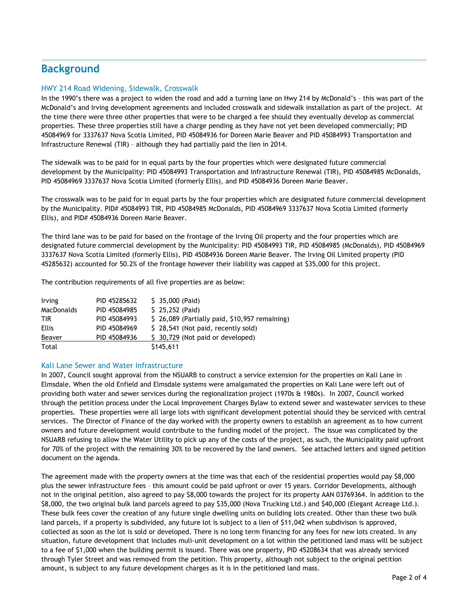# **Background**

### HWY 214 Road Widening, Sidewalk, Crosswalk

In the 1990's there was a project to widen the road and add a turning lane on Hwy 214 by McDonald's – this was part of the McDonald's and Irving development agreements and included crosswalk and sidewalk installation as part of the project. At the time there were three other properties that were to be charged a fee should they eventually develop as commercial properties. These three properties still have a charge pending as they have not yet been developed commercially; PID 45084969 for 3337637 Nova Scotia Limited, PID 45084936 for Doreen Marie Beaver and PID 45084993 Transportation and Infrastructure Renewal (TIR) – although they had partially paid the lien in 2014.

The sidewalk was to be paid for in equal parts by the four properties which were designated future commercial development by the Municipality: PID 45084993 Transportation and Infrastructure Renewal (TIR), PID 45084985 McDonalds, PID 45084969 3337637 Nova Scotia Limited (formerly Ellis), and PID 45084936 Doreen Marie Beaver.

The crosswalk was to be paid for in equal parts by the four properties which are designated future commercial development by the Municipality. PID# 45084993 TIR, PID 45084985 McDonalds, PID 45084969 3337637 Nova Scotia Limited (formerly Ellis), and PID# 45084936 Doreen Marie Beaver.

The third lane was to be paid for based on the frontage of the Irving Oil property and the four properties which are designated future commercial development by the Municipality: PID 45084993 TIR, PID 45084985 (McDonalds), PID 45084969 3337637 Nova Scotia Limited (formerly Ellis), PID 45084936 Doreen Marie Beaver. The Irving Oil Limited property (PID 45285632) accounted for 50.2% of the frontage however their liability was capped at \$35,000 for this project.

The contribution requirements of all five properties are as below:

| Irving     | PID 45285632 | $$35,000$ (Paid)                               |
|------------|--------------|------------------------------------------------|
| MacDonalds | PID 45084985 | $$25,252$ (Paid)                               |
| <b>TIR</b> | PID 45084993 | \$ 26,089 (Partially paid, \$10,957 remaining) |
| Ellis      | PID 45084969 | \$28,541 (Not paid, recently sold)             |
| Beaver     | PID 45084936 | \$ 30,729 (Not paid or developed)              |
| Total      |              | \$145,611                                      |

### Kali Lane Sewer and Water Infrastructure

In 2007, Council sought approval from the NSUARB to construct a service extension for the properties on Kali Lane in Elmsdale. When the old Enfield and Elmsdale systems were amalgamated the properties on Kali Lane were left out of providing both water and sewer services during the regionalization project (1970s & 1980s). In 2007, Council worked through the petition process under the Local Improvement Charges Bylaw to extend sewer and wastewater services to these properties. These properties were all large lots with significant development potential should they be serviced with central services. The Director of Finance of the day worked with the property owners to establish an agreement as to how current owners and future development would contribute to the funding model of the project. The issue was complicated by the NSUARB refusing to allow the Water Utility to pick up any of the costs of the project, as such, the Municipality paid upfront for 70% of the project with the remaining 30% to be recovered by the land owners. See attached letters and signed petition document on the agenda.

The agreement made with the property owners at the time was that each of the residential properties would pay \$8,000 plus the sewer infrastructure fees – this amount could be paid upfront or over 15 years. Corridor Developments, although not in the original petition, also agreed to pay \$8,000 towards the project for its property AAN 03769364. In addition to the \$8,000, the two original bulk land parcels agreed to pay \$35,000 (Nova Trucking Ltd.) and \$40,000 (Elegant Acreage Ltd.). These bulk fees cover the creation of any future single dwelling units on building lots created. Other than these two bulk land parcels, if a property is subdivided, any future lot is subject to a lien of \$11,042 when subdivison is approved, collected as soon as the lot is sold or developed. There is no long term financing for any fees for new lots created. In any situation, future development that includes muli-unit development on a lot within the petitioned land mass will be subject to a fee of \$1,000 when the building permit is issued. There was one property, PID 45208634 that was already serviced through Tyler Street and was removed from the petition. This property, although not subject to the original petition amount, is subject to any future development charges as it is in the petitioned land mass.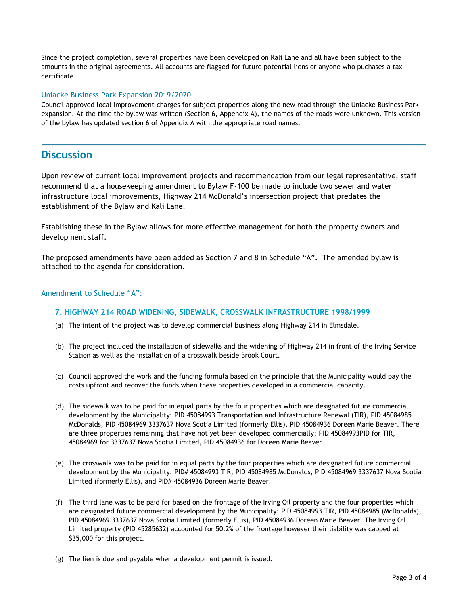Since the project completion, several properties have been developed on Kali Lane and all have been subject to the amounts in the original agreements. All accounts are flagged for future potential liens or anyone who puchases a tax certificate.

#### Uniacke Business Park Expansion 2019/2020

Council approved local improvement charges for subject properties along the new road through the Uniacke Business Park expansion. At the time the bylaw was written (Section 6, Appendix A), the names of the roads were unknown. This version of the bylaw has updated section 6 of Appendix A with the appropriate road names.

## **Discussion**

Upon review of current local improvement projects and recommendation from our legal representative, staff recommend that a housekeeping amendment to Bylaw F-100 be made to include two sewer and water infrastructure local improvements, Highway 214 McDonald's intersection project that predates the establishment of the Bylaw and Kali Lane.

Establishing these in the Bylaw allows for more effective management for both the property owners and development staff.

The proposed amendments have been added as Section 7 and 8 in Schedule "A". The amended bylaw is attached to the agenda for consideration.

#### Amendment to Schedule "A":

#### **7. HIGHWAY 214 ROAD WIDENING, SIDEWALK, CROSSWALK INFRASTRUCTURE 1998/1999**

- (a) The intent of the project was to develop commercial business along Highway 214 in Elmsdale.
- (b) The project included the installation of sidewalks and the widening of Highway 214 in front of the Irving Service Station as well as the installation of a crosswalk beside Brook Court.
- (c) Council approved the work and the funding formula based on the principle that the Municipality would pay the costs upfront and recover the funds when these properties developed in a commercial capacity.
- (d) The sidewalk was to be paid for in equal parts by the four properties which are designated future commercial development by the Municipality: PID 45084993 Transportation and Infrastructure Renewal (TIR), PID 45084985 McDonalds, PID 45084969 3337637 Nova Scotia Limited (formerly Ellis), PID 45084936 Doreen Marie Beaver. There are three properties remaining that have not yet been developed commercially; PID 45084993PID for TIR, 45084969 for 3337637 Nova Scotia Limited, PID 45084936 for Doreen Marie Beaver.
- (e) The crosswalk was to be paid for in equal parts by the four properties which are designated future commercial development by the Municipality. PID# 45084993 TIR, PID 45084985 McDonalds, PID 45084969 3337637 Nova Scotia Limited (formerly Ellis), and PID# 45084936 Doreen Marie Beaver.
- (f) The third lane was to be paid for based on the frontage of the Irving Oil property and the four properties which are designated future commercial development by the Municipality: PID 45084993 TIR, PID 45084985 (McDonalds), PID 45084969 3337637 Nova Scotia Limited (formerly Ellis), PID 45084936 Doreen Marie Beaver. The Irving Oil Limited property (PID 45285632) accounted for 50.2% of the frontage however their liability was capped at \$35,000 for this project.
- (g) The lien is due and payable when a development permit is issued.